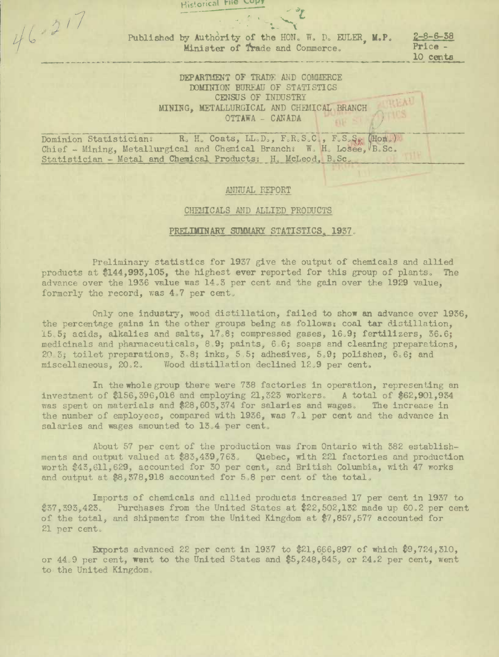Historical File Copy

 $46 - 217$ 

Published by Authority of the HON. W. D. EULER, M.P.  $\frac{2-8-6-58}{2}$ **Minister of Trade and Commerce.** 

10 cent

DEPARTMENT OF TRADE AND COMMERCE DOMINION BUREAU OF STATISTICS CENSUS OF INDUSTRY MINING, METALLURGICAL AND CHEMICAL BRANCH OTTAWA - CANADA

Dominion Statistician: R. H. Coats, LL.D., F.R.S.C., F.S.S. (Hom.) Chief - Mining, Metallurgical and Chemical Branch: W. H. Losee, B.Sc. Statistician - Metal and Chemical Products: H. McLeod, B.Sc.

## ANNUAL REPORT

## CHEMICALS AND ALLIED PRODUCTS

## PRELIMINARY SUMMARY STATISTICS, 1937.

Preliminary statistics for 1937 give the output of chemicals and allied products at \$144,993,105, the highest ever reported for this group of plants. The advance over the 1936 value was 143 per cent and the gain over the 1929 value, formerly the record, was  $4.7$  per cent.

Only one industry, wood distillation, failed to show **an** advance over 1936, the percentage gains in the other groups being as follows: coal tar distillation, 15.5; acids, alkalies and salts, 17.8; compressed gases, 16.9; fertilizers, 36.6; medicinals and pharmaceuticals, 8.9; paints, 6.6; soaps and cleaning preparations,  $20.3$ ; toilet preparations,  $5.8$ ; inks,  $5.5$ ; adhesives,  $5.9$ ; polishes,  $6.6$ ; and miscellaneous, 20.2. Wood distillation declined 12,9 per cent.

In the whole group there were 738 factories in operation, representing an investment of \$156,396,016 and employing 21,323 workers. A total of \$62,901,934 was spent on materials and  $$28,603,374$  for salaries and wages. The increase in the number of employees, compared with 1936, was 7.1 per cent and the advance in salaries and wages amounted to  $13.4$  per cent.

About 57 per cent of the production was from Ontario with 382 establishments and output valued at \$83,439,763. Quebec, with 221 factories and production worth \$43,611,629, accounted for 30 per cent, and British Columbia, with 47 works and output at  $$8,578,918$  accounted for  $5.8$  per cent of the total.

Imports of chemicals and allied products increased 17 per cent in 1937 to \$37,393,423. Purchases from the United States at \$22,502,132 made up 60.2 per cent of the total, and shipments from the United Kingdom at \$7,857,577 accounted for 21 per cent.

Exports advanced 22 per cent in 1937 to \$21,666,897 of which \$9,724,310, or 44,9 per cent, went to the United States and \$5,248,845, or 24.2 per cent, went to the United Kingdom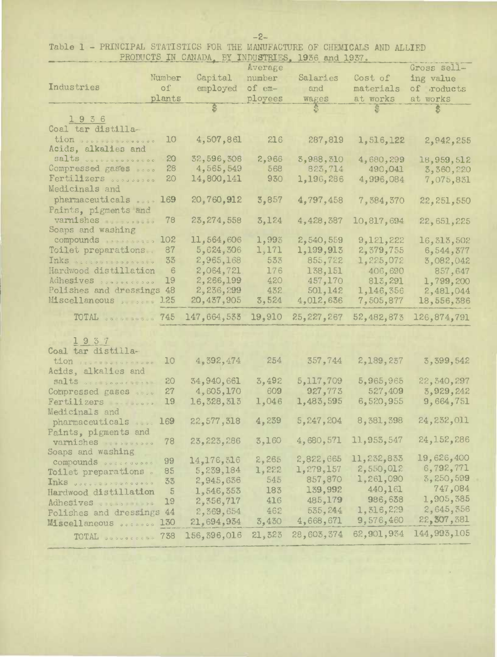$-2-$ 

Table 1 - PRINCIPAL STATISTICS FOR THE MANUFAQTI PRODUCTS IN CANADA, BY INDUSTRIES, JRE OF CHEMICALS AND ALLIED 1936 and 1937.

|                        |                |              | Average |              |            | Gross sell-  |
|------------------------|----------------|--------------|---------|--------------|------------|--------------|
|                        | Number         | Capital      | number  | Salaries     | Cost of    | ing value    |
| Industries             | $\circ$ f      | employed     | of em-  | and          | materials  | of roducts   |
|                        | plants         |              | ployees | wages        | at works   | at works     |
|                        |                |              |         |              |            |              |
| 1936                   |                |              |         |              |            |              |
| Coal tar distilla-     |                |              |         |              |            |              |
| tion soccessive ecoso  | 10             | 4,507,861    | 216     | 287,819      | 1,516,122  | 2,942,255    |
| Acids, alkalies and    |                |              |         |              |            |              |
| salts occossossososo   | 20             | 32,596,308   | 2,966   | 3,988,310    | 4,680,299  | 18,959,512   |
| Compressed gases       | 28             | 4,565,549    | 568     | 823,714      | 490,041    | 3,360,220    |
| Fertilizers            | 20             | 14,800,141   | 930     | 1,196,286    | 4,996,084  | 7,075,831    |
| Medicinals and         |                |              |         |              |            |              |
| pharmaceuticals  169   |                | 20,760,912   | 3,857   | 4,797,458    | 7,384,370  | 22, 251, 550 |
| Paints, pigments and   |                |              |         |              |            |              |
| varnishes              | 78             | 23,274,558   | 3,124   | 4,428,387    | 10,817,694 | 22, 651, 225 |
| Soaps and washing      |                |              |         |              |            |              |
| compounds proposessor  | 102            | 11,564,606   | 1,993   | 2,540,559    | 9,121,222  | 16, 313, 502 |
| Toilet preparations    | 87             | 5,624,306    | 1,171   | 1,199,913    | 2,379,755  | 6,544,377    |
| Inks accessionspapers  | 33             | 2,965,168    | 533     | 855,722      | 1,225,072  | 3,082,042    |
| Hardwood distillation  | 6              | 2,064,721    | 176     | 138,151      | 406,690    | 857,647      |
| Adhesives proposedores | 19             | 2,266,199    | 420     | 457,170      | 813, 291   | 1,799,200    |
| Polishes and dressings | 48             | 2,236,299    | 432     | 501,142      | 1,146,356  | 2,481,044    |
| Miscellaneous Service  | 125            | 20,437,905   | 3,524   | 4,012,636    | 7,505,877  | 18,556,386   |
| TOTAL<br>socomores 745 |                | 147,664,533  | 19,910  | 25, 227, 267 | 52,482,873 | 126,874,791  |
|                        |                |              |         |              |            |              |
| 1937                   |                |              |         |              |            |              |
| Coal tar distilla-     |                |              |         |              |            |              |
| tion secred verseasoc  | 10             | 4,392,474    | 254     | 357,744      | 2,189,237  | 3, 399, 542  |
| Acids, alkalies and    |                |              |         |              |            |              |
| salts accessores       | 20             | 34,940,661   | 3,492   | 5,117,709    | 5,965,965  | 22, 340, 297 |
| Compressed gases       | 27             | 4,605,170    | 609     | 927,773      | 527,409    | 3,929,242    |
| Fertilizers            | 19             | 16,328,313   | 1,046   | 1,483,595    | 6,520,955  | 9,664,751    |
| Medicinals and         |                |              |         |              |            |              |
| pharmaceuticals asse   | <b>169</b>     | 22, 577, 318 | 4,239   | 5,247,204    | 8,381,398  | 24,232,011   |
| Paints, pigments and   |                |              |         |              |            |              |
| Varnishes propressed   | 78             | 23, 223, 286 | 3,160   | 4,680,571    | 11,953,547 | 24, 152, 286 |
| Soaps and washing      |                |              |         |              |            |              |
| compounds occasioned   | 99             | 14,176,316   | 2,265   | 2,822,665    | 11,232,833 | 19,626,400   |
| Toilet preparations.   | 85             | 5,239,184    | 1,222   | 1,279,157    | 2,550,012  | 6,792,771    |
| Inks openhoppedocooo   | 33             | 2,945,636    | 545     | 857,870      | 1,261,090  | 3,250,599    |
| Hardwood distillation  | $\overline{5}$ | 1,546,353    | 183     | 139,992      | 440,161    | 747,084      |
| Adhesives              | 19             | 2,356,717    | 416     | 485,179      | 986,638    | 1,905,385    |
| Polishes and dressings | 44             | 2,369,654    | 462     | 535,244      | 1,316,229  | 2,645,356    |
| Miscellaneous  130     |                | 21,694,934   | 3,430   | 4,668,671    | 9,576,460  | 22, 307, 381 |
| TOTAL DOODGEGODS 738   |                | 156,396,016  | 21,323  | 28,603,374   | 62,901,934 | 144,993,105  |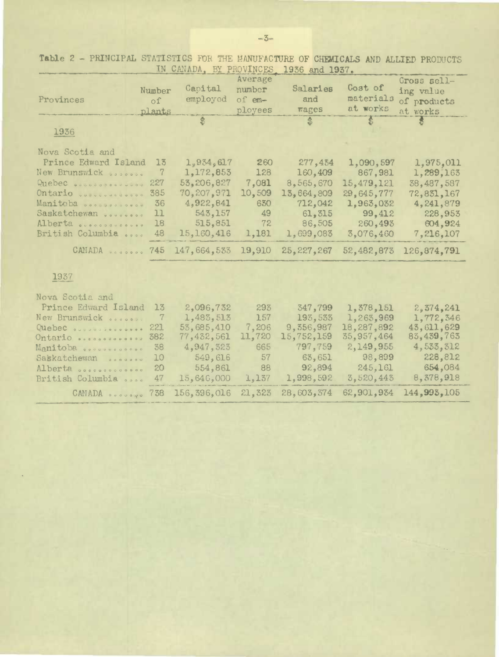| Provinces                                                                                                                                                             | Number<br>of<br>plants                                    | Capital<br>employed<br>忠                                                                            | Average<br>number<br>of em-<br>ployees                    | Salaries<br>and<br><b>Tages</b><br>$\overline{\mathbf{3}}$                                | Cost of<br>materials<br>at works<br>£.                                                            | Gross sell-<br>ing value<br>of products<br>at works                                                  |
|-----------------------------------------------------------------------------------------------------------------------------------------------------------------------|-----------------------------------------------------------|-----------------------------------------------------------------------------------------------------|-----------------------------------------------------------|-------------------------------------------------------------------------------------------|---------------------------------------------------------------------------------------------------|------------------------------------------------------------------------------------------------------|
| 1936                                                                                                                                                                  |                                                           |                                                                                                     |                                                           |                                                                                           |                                                                                                   |                                                                                                      |
| Nova Scotia and<br>Prince Edward Island<br>New Brunswick<br>Quebec<br>Ontario dos subsequence<br>Manitoba<br>Saskatchewan<br>Alberta overcocococo<br>British Columbia | 13<br>7<br>227<br>385<br>36<br>11<br>18<br>48             | 1,934,617<br>1,172,853<br>53,206,827<br>70,207,971<br>4,922,841<br>543,157<br>515,851<br>15,160,416 | 260<br>128<br>7,081<br>10,509<br>630<br>49<br>72<br>1,181 | 277,434<br>160,409<br>8,565,670<br>13,664,809<br>712,042<br>61,315<br>86,505<br>1,699,083 | 1,090,597<br>867,981<br>15,479,121<br>29,645,777<br>1,963,032<br>99,412<br>260,493<br>3,076,460   | 1,975,011<br>1,289,163<br>38,487,587<br>72,831,167<br>4,241,879<br>228,953<br>604,924<br>7,216,107   |
| CANADA  745 147,664,533 19,910<br>1937                                                                                                                                |                                                           |                                                                                                     |                                                           | 25, 227, 267                                                                              | 52,482,873                                                                                        | 126,874,791                                                                                          |
| Nova Scotia and<br>Prince Edward Island<br>New Brunswick<br>Quebec oursessences.<br>Ontario<br>Manitoba<br>Saskatchewan<br>Alberta occoooooooooo<br>British Columbia  | 13<br>$\mathcal{I}$<br>221<br>382<br>38<br>10<br>20<br>47 | 2,096,732<br>1,483,513<br>53,685,410<br>77,432,561<br>4,947,323<br>549,616<br>554,861<br>15,646,000 | 293<br>157<br>7,206<br>11,720<br>665<br>57<br>88<br>1,137 | 347,799<br>193,533<br>9,356,987<br>15,752,159<br>797,759<br>63,651<br>92,894<br>1,998,592 | 1,378,151<br>1,263,969<br>18,287,892<br>35,957,464<br>2,149,955<br>98,899<br>245,161<br>3,520,443 | 2,374,241<br>1,772,346<br>43, 611, 629<br>83,439,763<br>4,533,312<br>228,812<br>654,084<br>8,378,918 |
| CANADA $\circ \circ \circ \circ \circ \circ \circ$ 738                                                                                                                |                                                           | 156, 396, 016                                                                                       | 21,323                                                    | 28,603,374                                                                                | 62,901,934                                                                                        | 144,993,105                                                                                          |

Table 2 - PRINCIPAL STATISTICS FOR THE MANUFACTURE OF CHEMICALS AND ALLIED PRODUCTS IN CANADA, BY PROVINCES 1936 and 1937.